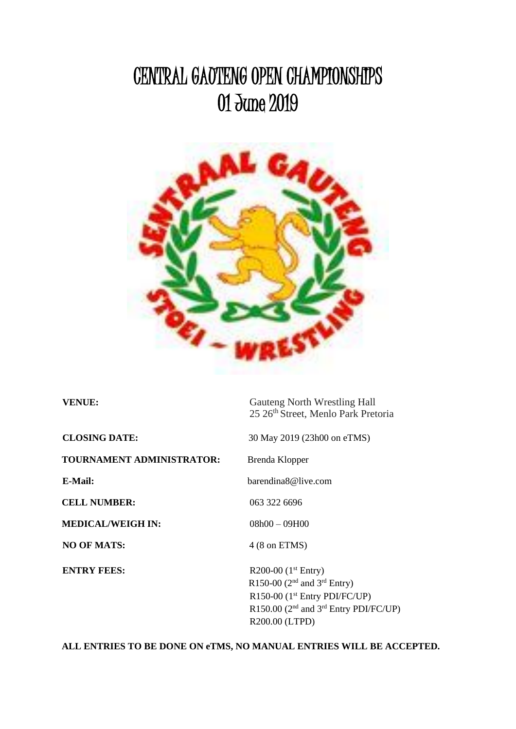## CENTRAL GAUTENG OPEN CHAMPIONSHIPS 01 June 2019



**VENUE:** Gauteng North Wrestling Hall 25 26<sup>th</sup> Street, Menlo Park Pretoria

| <b>CLOSING DATE:</b>      | 30 May 2019 (23h00 on eTMS)                                                                                                                            |
|---------------------------|--------------------------------------------------------------------------------------------------------------------------------------------------------|
| TOURNAMENT ADMINISTRATOR: | Brenda Klopper                                                                                                                                         |
| E-Mail:                   | barendina8@live.com                                                                                                                                    |
| <b>CELL NUMBER:</b>       | 063 322 6696                                                                                                                                           |
| <b>MEDICAL/WEIGH IN:</b>  | $08h00 - 09H00$                                                                                                                                        |
| <b>NO OF MATS:</b>        | $4(8 \text{ on ETMS})$                                                                                                                                 |
| <b>ENTRY FEES:</b>        | R200-00 $(1st Entry)$<br>R150-00 ( $2nd$ and $3rd$ Entry)<br>$R150-00$ (1 <sup>st</sup> Entry PDI/FC/UP)<br>R150.00 ( $2nd$ and $3rd$ Entry PDI/FC/UP) |
|                           | R200.00 (LTPD)                                                                                                                                         |

**ALL ENTRIES TO BE DONE ON eTMS, NO MANUAL ENTRIES WILL BE ACCEPTED.**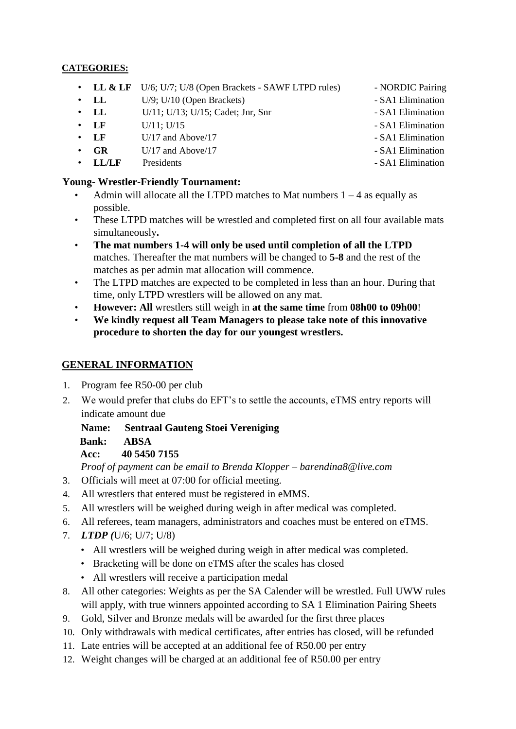## **CATEGORIES:**

- **LL & LF**U/6; U/7; U/8 (Open Brackets SAWF LTPD rules) NORDIC Pairing
- LL U/9; U/10 (Open Brackets) SA1 Elimination
- LL U/11; U/13; U/15; Cadet; Jnr, Snr SA1 Elimination
- LF  $U/11$ ;  $U/15$  SA1 Elimination
- LF U/17 and Above/17 SA1 Elimination
- **GR** U/17 and Above/17 SA1 Elimination
- **LL/LF** Presidents SA1 Elimination

## **Young- Wrestler-Friendly Tournament:**

- Admin will allocate all the LTPD matches to Mat numbers  $1 4$  as equally as possible.
- These LTPD matches will be wrestled and completed first on all four available mats simultaneously**.**
- **The mat numbers 1-4 will only be used until completion of all the LTPD** matches. Thereafter the mat numbers will be changed to **5-8** and the rest of the matches as per admin mat allocation will commence.
- The LTPD matches are expected to be completed in less than an hour. During that time, only LTPD wrestlers will be allowed on any mat.
- **However: All** wrestlers still weigh in **at the same time** from **08h00 to 09h00**!
- **We kindly request all Team Managers to please take note of this innovative procedure to shorten the day for our youngest wrestlers.**

## **GENERAL INFORMATION**

- 1. Program fee R50-00 per club
- 2. We would prefer that clubs do EFT's to settle the accounts, eTMS entry reports will indicate amount due

**Name: Sentraal Gauteng Stoei Vereniging Bank: ABSA Acc: 40 5450 7155** 

*Proof of payment can be email to Brenda Klopper – barendina8@live.com* 

- 3. Officials will meet at 07:00 for official meeting.
- 4. All wrestlers that entered must be registered in eMMS.
- 5. All wrestlers will be weighed during weigh in after medical was completed.
- 6. All referees, team managers, administrators and coaches must be entered on eTMS.
- 7. *LTDP (*U/6; U/7; U/8)
	- All wrestlers will be weighed during weigh in after medical was completed.
	- Bracketing will be done on eTMS after the scales has closed
	- All wrestlers will receive a participation medal
- 8. All other categories: Weights as per the SA Calender will be wrestled. Full UWW rules will apply, with true winners appointed according to SA 1 Elimination Pairing Sheets
- 9. Gold, Silver and Bronze medals will be awarded for the first three places
- 10. Only withdrawals with medical certificates, after entries has closed, will be refunded
- 11. Late entries will be accepted at an additional fee of R50.00 per entry
- 12. Weight changes will be charged at an additional fee of R50.00 per entry
- 
- 
- 
- 
- 
-